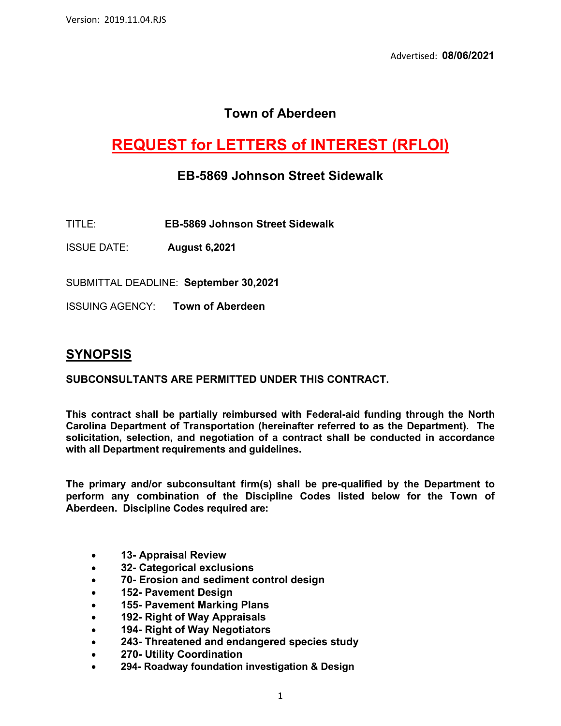# **Town of Aberdeen**

# **REQUEST for LETTERS of INTEREST (RFLOI)**

### **EB-5869 Johnson Street Sidewalk**

TITLE: **EB-5869 Johnson Street Sidewalk**

ISSUE DATE: **August 6,2021**

SUBMITTAL DEADLINE: **September 30,2021**

ISSUING AGENCY: **Town of Aberdeen**

### **SYNOPSIS**

#### **SUBCONSULTANTS ARE PERMITTED UNDER THIS CONTRACT.**

**This contract shall be partially reimbursed with Federal-aid funding through the North Carolina Department of Transportation (hereinafter referred to as the Department). The solicitation, selection, and negotiation of a contract shall be conducted in accordance with all Department requirements and guidelines.**

**The primary and/or subconsultant firm(s) shall be pre-qualified by the Department to perform any combination of the Discipline Codes listed below for the Town of Aberdeen. Discipline Codes required are:**

- **13- Appraisal Review**
- **32- Categorical exclusions**
- **70- Erosion and sediment control design**
- **152- Pavement Design**
- **155- Pavement Marking Plans**
- **192- Right of Way Appraisals**
- **194- Right of Way Negotiators**
- **243- Threatened and endangered species study**
- **270- Utility Coordination**
- **294- Roadway foundation investigation & Design**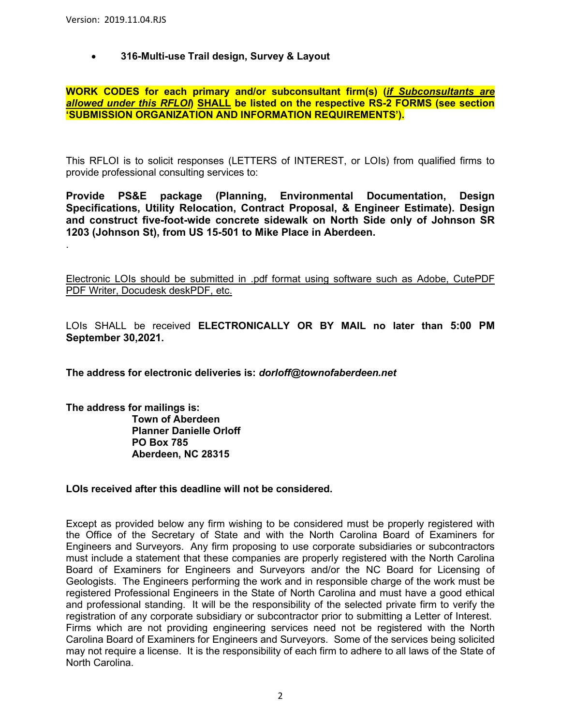.

#### • **316-Multi-use Trail design, Survey & Layout**

#### **WORK CODES for each primary and/or subconsultant firm(s) (***if Subconsultants are allowed under this RFLOI***) SHALL be listed on the respective RS-2 FORMS (see section 'SUBMISSION ORGANIZATION AND INFORMATION REQUIREMENTS').**

This RFLOI is to solicit responses (LETTERS of INTEREST, or LOIs) from qualified firms to provide professional consulting services to:

**Provide PS&E package (Planning, Environmental Documentation, Design Specifications, Utility Relocation, Contract Proposal, & Engineer Estimate). Design and construct five-foot-wide concrete sidewalk on North Side only of Johnson SR 1203 (Johnson St), from US 15-501 to Mike Place in Aberdeen.** 

Electronic LOIs should be submitted in .pdf format using software such as Adobe, CutePDF PDF Writer, Docudesk deskPDF, etc.

LOIs SHALL be received **ELECTRONICALLY OR BY MAIL no later than 5:00 PM September 30,2021.**

**The address for electronic deliveries is:** *dorloff@townofaberdeen.net*

**The address for mailings is: Town of Aberdeen Planner Danielle Orloff PO Box 785 Aberdeen, NC 28315**

#### **LOIs received after this deadline will not be considered.**

Except as provided below any firm wishing to be considered must be properly registered with the Office of the Secretary of State and with the North Carolina Board of Examiners for Engineers and Surveyors. Any firm proposing to use corporate subsidiaries or subcontractors must include a statement that these companies are properly registered with the North Carolina Board of Examiners for Engineers and Surveyors and/or the NC Board for Licensing of Geologists. The Engineers performing the work and in responsible charge of the work must be registered Professional Engineers in the State of North Carolina and must have a good ethical and professional standing. It will be the responsibility of the selected private firm to verify the registration of any corporate subsidiary or subcontractor prior to submitting a Letter of Interest. Firms which are not providing engineering services need not be registered with the North Carolina Board of Examiners for Engineers and Surveyors. Some of the services being solicited may not require a license. It is the responsibility of each firm to adhere to all laws of the State of North Carolina.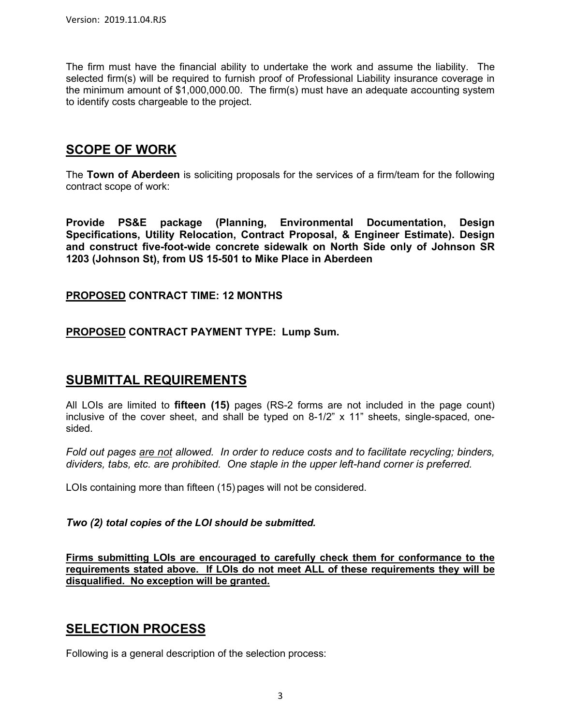The firm must have the financial ability to undertake the work and assume the liability. The selected firm(s) will be required to furnish proof of Professional Liability insurance coverage in the minimum amount of \$1,000,000.00. The firm(s) must have an adequate accounting system to identify costs chargeable to the project.

## **SCOPE OF WORK**

The **Town of Aberdeen** is soliciting proposals for the services of a firm/team for the following contract scope of work:

**Provide PS&E package (Planning, Environmental Documentation, Design Specifications, Utility Relocation, Contract Proposal, & Engineer Estimate). Design and construct five-foot-wide concrete sidewalk on North Side only of Johnson SR 1203 (Johnson St), from US 15-501 to Mike Place in Aberdeen**

### **PROPOSED CONTRACT TIME: 12 MONTHS**

### **PROPOSED CONTRACT PAYMENT TYPE: Lump Sum.**

### **SUBMITTAL REQUIREMENTS**

All LOIs are limited to **fifteen (15)** pages (RS-2 forms are not included in the page count) inclusive of the cover sheet, and shall be typed on 8-1/2" x 11" sheets, single-spaced, onesided.

*Fold out pages are not allowed. In order to reduce costs and to facilitate recycling; binders, dividers, tabs, etc. are prohibited. One staple in the upper left-hand corner is preferred.*

LOIs containing more than fifteen (15) pages will not be considered.

#### *Two (2) total copies of the LOI should be submitted.*

**Firms submitting LOIs are encouraged to carefully check them for conformance to the requirements stated above. If LOIs do not meet ALL of these requirements they will be disqualified. No exception will be granted.**

## **SELECTION PROCESS**

Following is a general description of the selection process: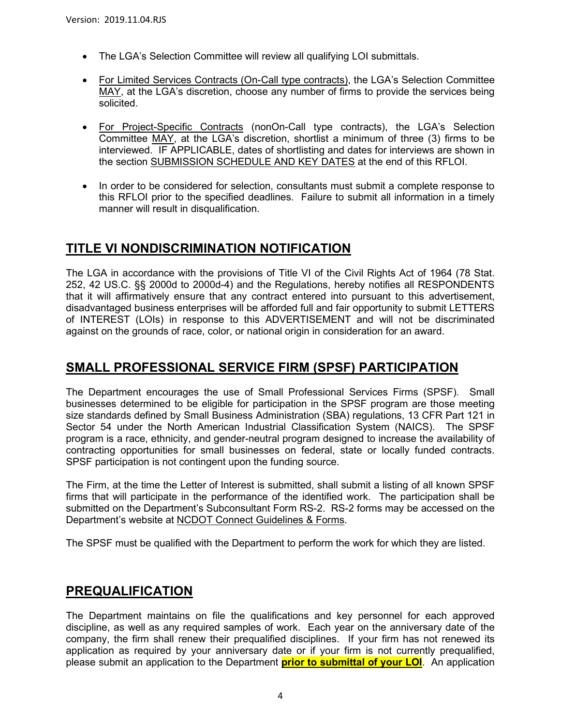- The LGA's Selection Committee will review all qualifying LOI submittals.
- For Limited Services Contracts (On-Call type contracts), the LGA's Selection Committee MAY, at the LGA's discretion, choose any number of firms to provide the services being solicited.
- For Project-Specific Contracts (nonOn-Call type contracts), the LGA's Selection Committee MAY, at the LGA's discretion, shortlist a minimum of three (3) firms to be interviewed. IF APPLICABLE, dates of shortlisting and dates for interviews are shown in the section SUBMISSION SCHEDULE AND KEY DATES at the end of this RFLOI.
- In order to be considered for selection, consultants must submit a complete response to this RFLOI prior to the specified deadlines. Failure to submit all information in a timely manner will result in disqualification.

# **TITLE VI NONDISCRIMINATION NOTIFICATION**

The LGA in accordance with the provisions of Title VI of the Civil Rights Act of 1964 (78 Stat. 252, 42 US.C. §§ 2000d to 2000d-4) and the Regulations, hereby notifies all RESPONDENTS that it will affirmatively ensure that any contract entered into pursuant to this advertisement, disadvantaged business enterprises will be afforded full and fair opportunity to submit LETTERS of INTEREST (LOIs) in response to this ADVERTISEMENT and will not be discriminated against on the grounds of race, color, or national origin in consideration for an award.

## **SMALL PROFESSIONAL SERVICE FIRM (SPSF) PARTICIPATION**

The Department encourages the use of Small Professional Services Firms (SPSF). Small businesses determined to be eligible for participation in the SPSF program are those meeting size standards defined by Small Business Administration (SBA) regulations, 13 CFR Part 121 in Sector 54 under the North American Industrial Classification System (NAICS). The SPSF program is a race, ethnicity, and gender-neutral program designed to increase the availability of contracting opportunities for small businesses on federal, state or locally funded contracts. SPSF participation is not contingent upon the funding source.

The Firm, at the time the Letter of Interest is submitted, shall submit a listing of all known SPSF firms that will participate in the performance of the identified work. The participation shall be submitted on the Department's Subconsultant Form RS-2. RS-2 forms may be accessed on the Department's website at NCDOT [Connect Guidelines & Forms.](https://connect.ncdot.gov/business/consultants/Pages/Guidelines-Forms.aspx)

The SPSF must be qualified with the Department to perform the work for which they are listed.

## **PREQUALIFICATION**

The Department maintains on file the qualifications and key personnel for each approved discipline, as well as any required samples of work. Each year on the anniversary date of the company, the firm shall renew their prequalified disciplines. If your firm has not renewed its application as required by your anniversary date or if your firm is not currently prequalified, please submit an application to the Department **prior to submittal of your LOI**. An application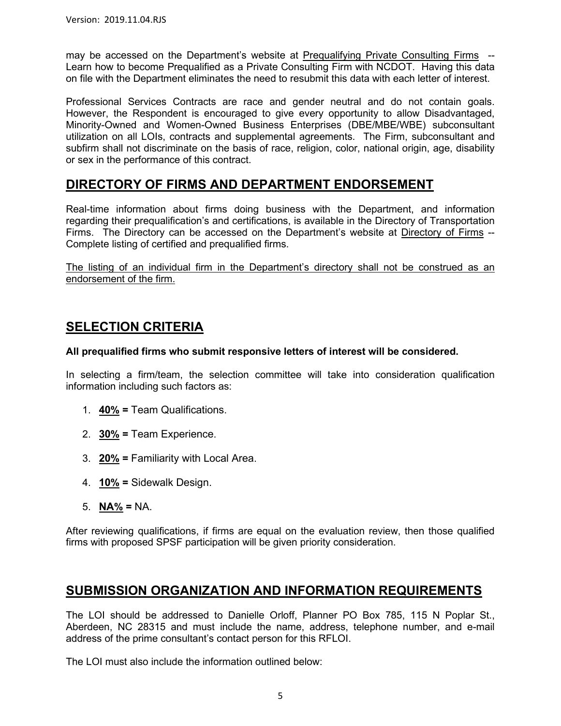may be accessed on the Department's website at [Prequalifying Private Consulting Firms](https://connect.ncdot.gov/business/Prequal/Pages/Private-Consulting-Firm.aspx) -- Learn how to become Prequalified as a Private Consulting Firm with NCDOT. Having this data on file with the Department eliminates the need to resubmit this data with each letter of interest.

Professional Services Contracts are race and gender neutral and do not contain goals. However, the Respondent is encouraged to give every opportunity to allow Disadvantaged, Minority-Owned and Women-Owned Business Enterprises (DBE/MBE/WBE) subconsultant utilization on all LOIs, contracts and supplemental agreements. The Firm, subconsultant and subfirm shall not discriminate on the basis of race, religion, color, national origin, age, disability or sex in the performance of this contract.

## **DIRECTORY OF FIRMS AND DEPARTMENT ENDORSEMENT**

Real-time information about firms doing business with the Department, and information regarding their prequalification's and certifications, is available in the Directory of Transportation Firms. The Directory can be accessed on the Department's website at [Directory of Firms](https://www.ebs.nc.gov/VendorDirectory/default.html) -- Complete listing of certified and prequalified firms.

The listing of an individual firm in the Department's directory shall not be construed as an endorsement of the firm.

# **SELECTION CRITERIA**

#### **All prequalified firms who submit responsive letters of interest will be considered.**

In selecting a firm/team, the selection committee will take into consideration qualification information including such factors as:

- 1. **40% =** Team Qualifications.
- 2. **30% =** Team Experience.
- 3. **20% =** Familiarity with Local Area.
- 4. **10% =** Sidewalk Design.
- 5. **NA% =** NA.

After reviewing qualifications, if firms are equal on the evaluation review, then those qualified firms with proposed SPSF participation will be given priority consideration.

### **SUBMISSION ORGANIZATION AND INFORMATION REQUIREMENTS**

The LOI should be addressed to Danielle Orloff, Planner PO Box 785, 115 N Poplar St., Aberdeen, NC 28315 and must include the name, address, telephone number, and e-mail address of the prime consultant's contact person for this RFLOI.

The LOI must also include the information outlined below: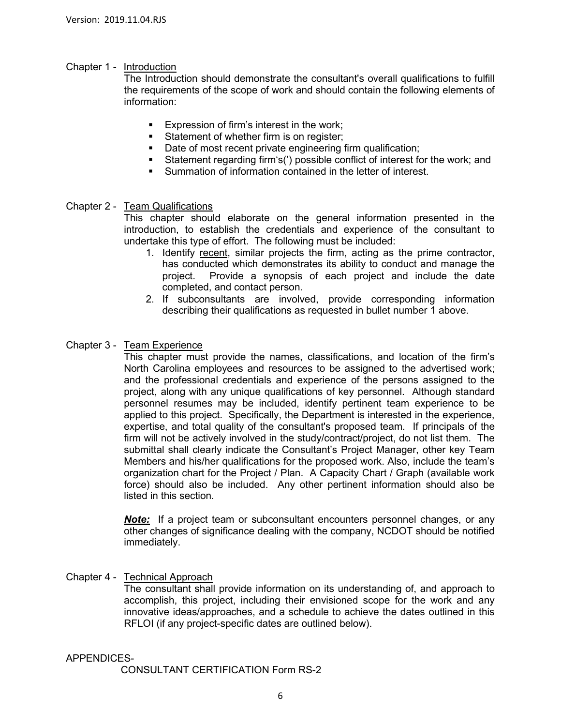#### Chapter 1 - Introduction

The Introduction should demonstrate the consultant's overall qualifications to fulfill the requirements of the scope of work and should contain the following elements of information:

- **Expression of firm's interest in the work;**
- Statement of whether firm is on register;
- Date of most recent private engineering firm qualification;
- Statement regarding firm's(') possible conflict of interest for the work; and<br>Summation of information contained in the letter of interest
- Summation of information contained in the letter of interest.

#### Chapter 2 - Team Qualifications

This chapter should elaborate on the general information presented in the introduction, to establish the credentials and experience of the consultant to undertake this type of effort. The following must be included:

- 1. Identify recent, similar projects the firm, acting as the prime contractor, has conducted which demonstrates its ability to conduct and manage the project. Provide a synopsis of each project and include the date completed, and contact person.
- 2. If subconsultants are involved, provide corresponding information describing their qualifications as requested in bullet number 1 above.

#### Chapter 3 - Team Experience

This chapter must provide the names, classifications, and location of the firm's North Carolina employees and resources to be assigned to the advertised work; and the professional credentials and experience of the persons assigned to the project, along with any unique qualifications of key personnel. Although standard personnel resumes may be included, identify pertinent team experience to be applied to this project. Specifically, the Department is interested in the experience, expertise, and total quality of the consultant's proposed team. If principals of the firm will not be actively involved in the study/contract/project, do not list them. The submittal shall clearly indicate the Consultant's Project Manager, other key Team Members and his/her qualifications for the proposed work. Also, include the team's organization chart for the Project / Plan. A Capacity Chart / Graph (available work force) should also be included. Any other pertinent information should also be listed in this section.

*Note:* If a project team or subconsultant encounters personnel changes, or any other changes of significance dealing with the company, NCDOT should be notified immediately.

#### Chapter 4 - Technical Approach

The consultant shall provide information on its understanding of, and approach to accomplish, this project, including their envisioned scope for the work and any innovative ideas/approaches, and a schedule to achieve the dates outlined in this RFLOI (if any project-specific dates are outlined below).

#### APPENDICES-

CONSULTANT CERTIFICATION Form RS-2